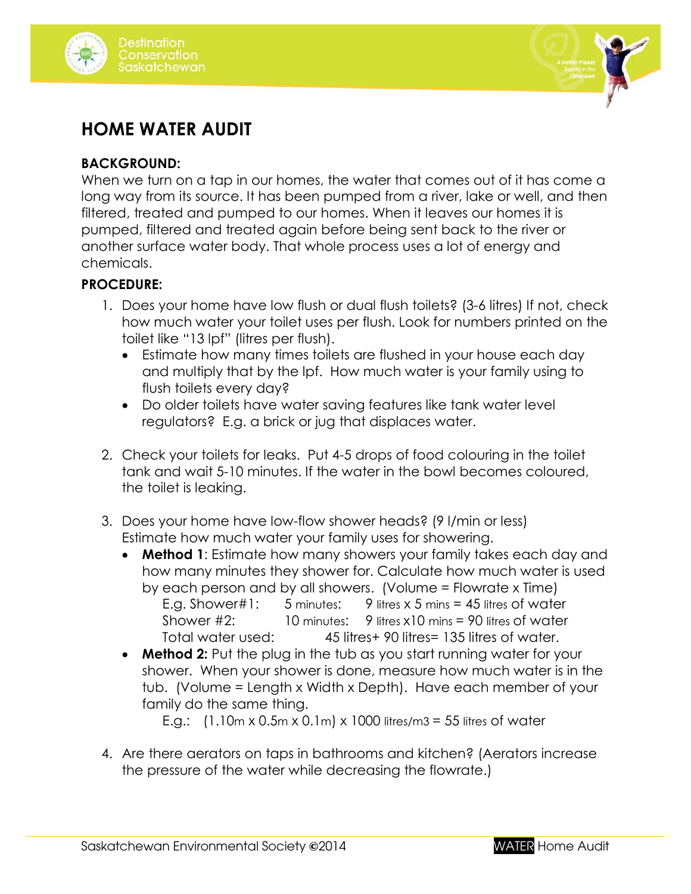



## **HOME WATER AUDIT**

## **BACKGROUND:**

When we turn on a tap in our homes, the water that comes out of it has come a long way from its source. It has been pumped from a river, lake or well, and then filtered, treated and pumped to our homes. When it leaves our homes it is pumped, filtered and treated again before being sent back to the river or another surface water body. That whole process uses a lot of energy and chemicals.

## **PROCEDURE:**

- 1. Does your home have low flush or dual flush toilets? (3-6 litres) If not, check how much water your toilet uses per flush. Look for numbers printed on the toilet like "13 lpf" (litres per flush).
	- Estimate how many times toilets are flushed in your house each day and multiply that by the lpf. How much water is your family using to flush toilets every day?
	- Do older toilets have water saving features like tank water level regulators? E.g. a brick or jug that displaces water.
- 2. Check your toilets for leaks. Put 4-5 drops of food colouring in the toilet tank and wait 5-10 minutes. If the water in the bowl becomes coloured, the toilet is leaking.
- 3. Does your home have low-flow shower heads? (9 l/min or less) Estimate how much water your family uses for showering.
	- **Method 1**: Estimate how many showers your family takes each day and how many minutes they shower for. Calculate how much water is used by each person and by all showers. (Volume = Flowrate x Time) E.g. Shower#1: 5 minutes: 9 litres x 5 mins = 45 litres of water Shower #2: 10 minutes: 9 litres x10 mins = 90 litres of water Total water used: 45 litres+ 90 litres= 135 litres of water.
	- **Method 2:** Put the plug in the tub as you start running water for your shower. When your shower is done, measure how much water is in the tub. (Volume = Length x Width x Depth). Have each member of your family do the same thing.

E.g.:  $(1.10 \text{m} \times 0.5 \text{m} \times 0.1 \text{m}) \times 1000$  litres/m3 = 55 litres of water

4. Are there aerators on taps in bathrooms and kitchen? (Aerators increase the pressure of the water while decreasing the flowrate.)